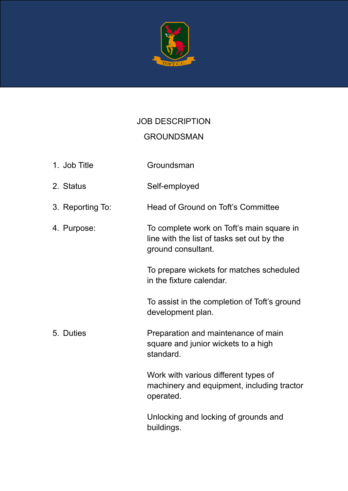

## JOB DESCRIPTION

## GROUNDSMAN

- 1. Job Title Groundsman
- 2. Status Self-employed
- 3. Reporting To: Head of Ground on Toft's Committee
- 4. Purpose: To complete work on Toft's main square in line with the list of tasks set out by the ground consultant.

To prepare wickets for matches scheduled in the fixture calendar.

To assist in the completion of Toft's ground development plan.

5. Duties Preparation and maintenance of main square and junior wickets to a high standard.

> Work with various different types of machinery and equipment, including tractor operated.

Unlocking and locking of grounds and buildings.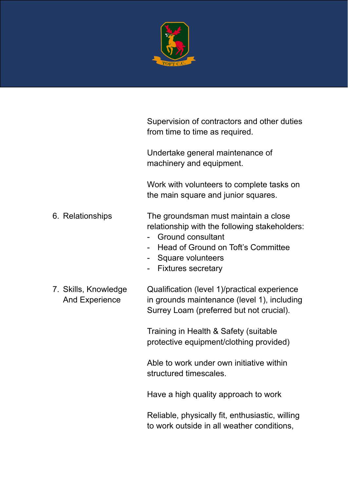

|                                               | Supervision of contractors and other duties<br>from time to time as required.                                                                                                                   |
|-----------------------------------------------|-------------------------------------------------------------------------------------------------------------------------------------------------------------------------------------------------|
|                                               | Undertake general maintenance of<br>machinery and equipment.                                                                                                                                    |
|                                               | Work with volunteers to complete tasks on<br>the main square and junior squares.                                                                                                                |
| 6. Relationships                              | The groundsman must maintain a close<br>relationship with the following stakeholders:<br>Ground consultant<br>Head of Ground on Toft's Committee<br>- Square volunteers<br>- Fixtures secretary |
| 7. Skills, Knowledge<br><b>And Experience</b> | Qualification (level 1)/practical experience<br>in grounds maintenance (level 1), including<br>Surrey Loam (preferred but not crucial).                                                         |
|                                               | Training in Health & Safety (suitable<br>protective equipment/clothing provided)                                                                                                                |
|                                               | Able to work under own initiative within<br>structured timescales.                                                                                                                              |
|                                               | Have a high quality approach to work                                                                                                                                                            |

Reliable, physically fit, enthusiastic, willing to work outside in all weather conditions,